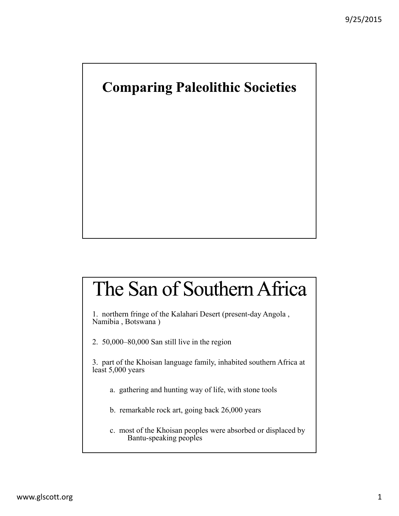### **Comparing Paleolithic Societies**

## The San of Southern Africa

1. northern fringe of the Kalahari Desert (present-day Angola , Namibia , Botswana )

2. 50,000–80,000 San still live in the region

3. part of the Khoisan language family, inhabited southern Africa at least 5,000 years

- a. gathering and hunting way of life, with stone tools
- b. remarkable rock art, going back 26,000 years
- c. most of the Khoisan peoples were absorbed or displaced by Bantu-speaking peoples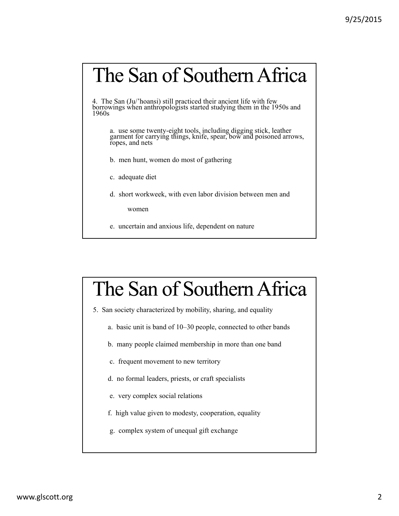## The San of Southern Africa

4. The San (Ju/'hoansi) still practiced their ancient life with few borrowings when anthropologists started studying them in the 1950s and 1960s

a. use some twenty-eight tools, including digging stick, leather garment for carrying things, knife, spear, bow and poisoned arrows, ropes, and nets

- b. men hunt, women do most of gathering
- c. adequate diet
- d. short workweek, with even labor division between men and

women

e. uncertain and anxious life, dependent on nature

## The San of Southern Africa

- 5. San society characterized by mobility, sharing, and equality
	- a. basic unit is band of 10–30 people, connected to other bands
	- b. many people claimed membership in more than one band
	- c. frequent movement to new territory
	- d. no formal leaders, priests, or craft specialists
	- e. very complex social relations
	- f. high value given to modesty, cooperation, equality
	- g. complex system of unequal gift exchange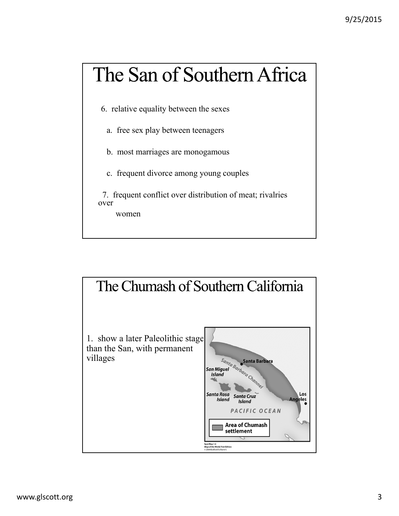# The San of Southern Africa

6. relative equality between the sexes

- a. free sex play between teenagers
- b. most marriages are monogamous
- c. frequent divorce among young couples

7. frequent conflict over distribution of meat; rivalries over

women

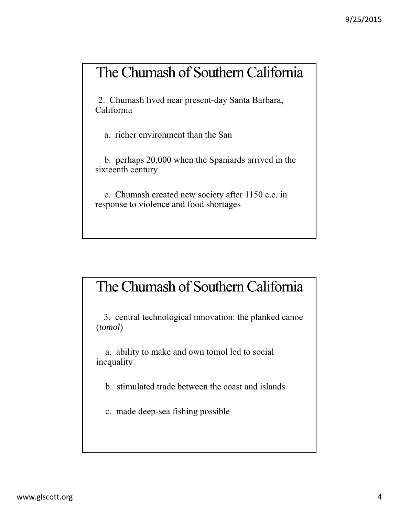#### The Chumash of Southern California

2. Chumash lived near present-day Santa Barbara, California

a. richer environment than the San

b. perhaps 20,000 when the Spaniards arrived in the sixteenth century

c. Chumash created new society after 1150 c.e. in response to violence and food shortages

### The Chumash of Southern California

3. central technological innovation: the planked canoe (*tomol*)

a. ability to make and own tomol led to social inequality

b. stimulated trade between the coast and islands

c. made deep-sea fishing possible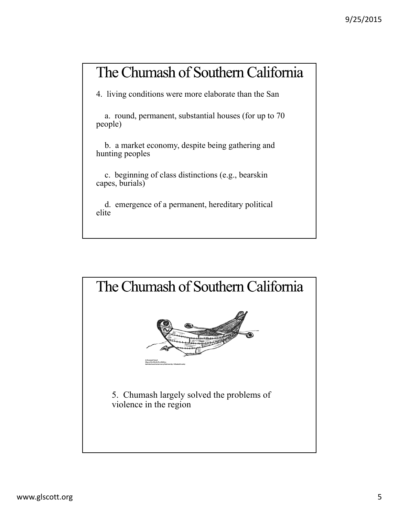### The Chumash of Southern California

4. living conditions were more elaborate than the San

a. round, permanent, substantial houses (for up to 70 people)

b. a market economy, despite being gathering and hunting peoples

c. beginning of class distinctions (e.g., bearskin capes, burials)

d. emergence of a permanent, hereditary political elite

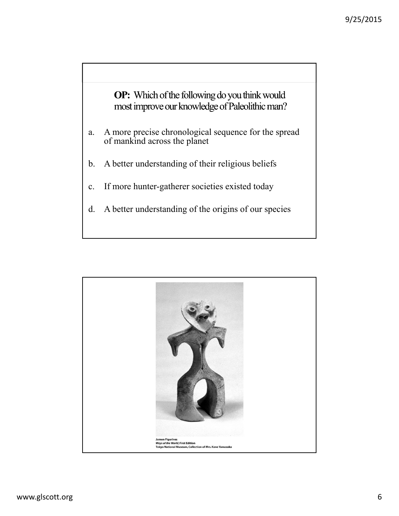OP: Which of the following do you think would most improve our knowledge of Paleolithic man?

- a. A more precise chronological sequence for the spread of mankind across the planet
- b. A better understanding of their religious beliefs
- c. If more hunter-gatherer societies existed today
- d. A better understanding of the origins of our species